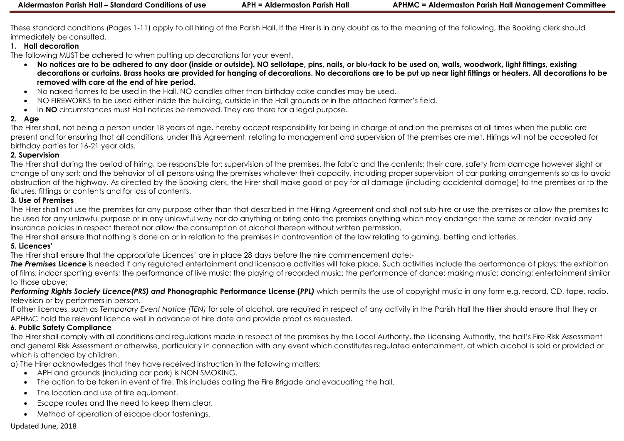These standard conditions (Pages 1-11) apply to all hiring of the Parish Hall. If the Hirer is in any doubt as to the meaning of the following, the Booking clerk should immediately be consulted.

## **1. Hall decoration**

The following MUST be adhered to when putting up decorations for your event.

- **No notices are to be adhered to any door (inside or outside). NO sellotape, pins, nails, or blu-tack to be used on, walls, woodwork, light fittings, existing decorations or curtains. Brass hooks are provided for hanging of decorations. No decorations are to be put up near light fittings or heaters. All decorations to be removed with care at the end of hire period.**
- No naked flames to be used in the Hall. NO candles other than birthday cake candles may be used.
- NO FIREWORKS to be used either inside the building, outside in the Hall grounds or in the attached farmer's field.
- In **NO** circumstances must Hall notices be removed. They are there for a legal purpose.

## **2. Age**

The Hirer shall, not being a person under 18 years of age, hereby accept responsibility for being in charge of and on the premises at all times when the public are present and for ensuring that all conditions, under this Agreement, relating to management and supervision of the premises are met. Hirings will not be accepted for birthday parties for 16-21 year olds.

#### **2. Supervision**

The Hirer shall during the period of hiring, be responsible for: supervision of the premises, the fabric and the contents; their care, safety from damage however slight or change of any sort; and the behavior of all persons using the premises whatever their capacity, including proper supervision of car parking arrangements so as to avoid obstruction of the highway. As directed by the Booking clerk, the Hirer shall make good or pay for all damage (including accidental damage) to the premises or to the fixtures, fittings or contents and for loss of contents.

## **3. Use of Premises**

The Hirer shall not use the premises for any purpose other than that described in the Hiring Agreement and shall not sub-hire or use the premises or allow the premises to be used for any unlawful purpose or in any unlawful way nor do anything or bring onto the premises anything which may endanger the same or render invalid any insurance policies in respect thereof nor allow the consumption of alcohol thereon without written permission.

The Hirer shall ensure that nothing is done on or in relation to the premises in contravention of the law relating to gaming, betting and lotteries.

## **5. Licences'**

The Hirer shall ensure that the appropriate Licences' are in place 28 days before the hire commencement date:-

**The Premises Licence** is needed if any regulated entertainment and licensable activities will take place. Such activities include the performance of plays; the exhibition of films; indoor sporting events; the performance of live music; the playing of recorded music; the performance of dance; making music; dancing; entertainment similar to those above;

*Performing Rights Society Licence(PRS) and* **Phonographic Performance License (***PPL)* which permits the use of copyright music in any form e.g. record, CD, tape, radio, television or by performers in person.

If other licences, such as *Temporary Event Notice (TEN)* for sale of alcohol, are required in respect of any activity in the Parish Hall the Hirer should ensure that they or APHMC hold the relevant licence well in advance of hire date and provide proof as requested.

# **6. Public Safety Compliance**

The Hirer shall comply with all conditions and regulations made in respect of the premises by the Local Authority, the Licensing Authority, the hall's Fire Risk Assessment and general Risk Assessment or otherwise, particularly in connection with any event which constitutes regulated entertainment, at which alcohol is sold or provided or which is attended by children.

a) The Hirer acknowledges that they have received instruction in the following matters:

- APH and grounds (including car park) is NON SMOKING.
- The action to be taken in event of fire. This includes calling the Fire Brigade and evacuating the hall.
- The location and use of fire equipment.
- Escape routes and the need to keep them clear.
- Method of operation of escape door fastenings.

# Updated June, 2018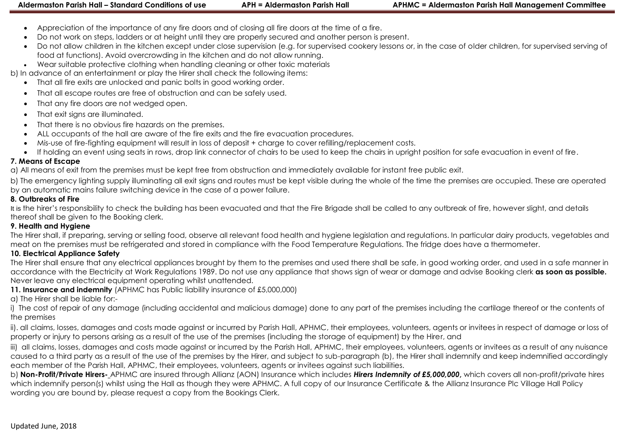- Appreciation of the importance of any fire doors and of closing all fire doors at the time of a fire.
- Do not work on steps, ladders or at height until they are properly secured and another person is present.
- Do not allow children in the kitchen except under close supervision (e.g. for supervised cookery lessons or, in the case of older children, for supervised serving of food at functions). Avoid overcrowding in the kitchen and do not allow running.
- Wear suitable protective clothing when handling cleaning or other toxic materials

b) In advance of an entertainment or play the Hirer shall check the following items:

- That all fire exits are unlocked and panic bolts in good working order.
- That all escape routes are free of obstruction and can be safely used.
- That any fire doors are not wedged open.
- That exit signs are illuminated.
- That there is no obvious fire hazards on the premises.
- ALL occupants of the hall are aware of the fire exits and the fire evacuation procedures.
- Mis-use of fire-fighting equipment will result in loss of deposit + charge to cover refilling/replacement costs.
- If holding an event using seats in rows, drop link connector of chairs to be used to keep the chairs in upright position for safe evacuation in event of fire.

#### **7. Means of Escape**

a) All means of exit from the premises must be kept free from obstruction and immediately available for instant free public exit.

b) The emergency lighting supply illuminating all exit signs and routes must be kept visible during the whole of the time the premises are occupied. These are operated by an automatic mains failure switching device in the case of a power failure.

#### **8. Outbreaks of Fire**

It is the hirer's responsibility to check the building has been evacuated and that the Fire Brigade shall be called to any outbreak of fire, however slight, and details thereof shall be given to the Booking clerk.

#### **9. Health and Hygiene**

The Hirer shall, if preparing, serving or selling food, observe all relevant food health and hygiene legislation and regulations. In particular dairy products, vegetables and meat on the premises must be refrigerated and stored in compliance with the Food Temperature Regulations. The fridge does have a thermometer.

#### **10. Electrical Appliance Safety**

The Hirer shall ensure that any electrical appliances brought by them to the premises and used there shall be safe, in good working order, and used in a safe manner in accordance with the Electricity at Work Regulations 1989. Do not use any appliance that shows sign of wear or damage and advise Booking clerk **as soon as possible.**  Never leave any electrical equipment operating whilst unattended.

**11. Insurance and indemnity** (APHMC has Public liability insurance of £5,000,000)

a) The Hirer shall be liable for:-

i) The cost of repair of any damage (including accidental and malicious damage) done to any part of the premises including the cartilage thereof or the contents of the premises

ii). all claims, losses, damages and costs made against or incurred by Parish Hall, APHMC, their employees, volunteers, agents or invitees in respect of damage or loss of property or injury to persons arising as a result of the use of the premises (including the storage of equipment) by the Hirer, and

iii) all claims, losses, damages and costs made against or incurred by the Parish Hall, APHMC, their employees, volunteers, agents or invitees as a result of any nuisance caused to a third party as a result of the use of the premises by the Hirer, and subject to sub-paragraph (b), the Hirer shall indemnify and keep indemnified accordingly each member of the Parish Hall, APHMC, their employees, volunteers, agents or invitees against such liabilities.

b) **Non-Profit/Private Hirers-** APHMC are insured through Allianz (AON) Insurance which includes *Hirers Indemnity of £5,000,000***,** which covers all non-profit/private hires which indemnify person(s) whilst using the Hall as though they were APHMC. A full copy of our Insurance Certificate & the Allianz Insurance Plc Village Hall Policy wording you are bound by, please request a copy from the Bookings Clerk.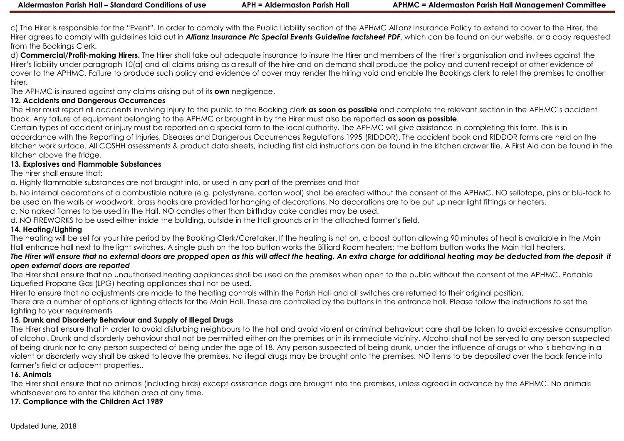c) The Hirer is responsible for the "Event". In order to comply with the Public Liability section of the APHMC Allianz Insurance Policy to extend to cover to the Hirer, the Hirer agrees to comply with guidelines laid out in *Allianz Insurance Plc Special Events Guideline factsheet PDF*, which can be found on our website, or a copy requested from the Bookings Clerk.

d) **Commercial/Profit-making Hirers.** The Hirer shall take out adequate insurance to insure the Hirer and members of the Hirer's organisation and invitees against the Hirer's liability under paragraph 10(a) and all claims arising as a result of the hire and on demand shall produce the policy and current receipt or other evidence of cover to the APHMC. Failure to produce such policy and evidence of cover may render the hiring void and enable the Bookings clerk to relet the premises to another hirer.

The APHMC is insured against any claims arising out of its **own** negligence.

#### **12. Accidents and Dangerous Occurrences**

The Hirer must report all accidents involving injury to the public to the Booking clerk **as soon as possible** and complete the relevant section in the APHMC's accident book. Any failure of equipment belonging to the APHMC or brought in by the Hirer must also be reported **as soon as possible**.

Certain types of accident or injury must be reported on a special form to the local authority. The APHMC will give assistance in completing this form. This is in accordance with the Reporting of Injuries, Diseases and Dangerous Occurrences Regulations 1995 (RIDDOR). The accident book and RIDDOR forms are held on the kitchen work surface. All COSHH assessments & product data sheets, including first aid instructions can be found in the kitchen drawer file. A First Aid can be found in the kitchen above the fridge.

#### **13. Explosives and Flammable Substances**

The hirer shall ensure that:

a. Highly flammable substances are not brought into, or used in any part of the premises and that

b. No internal decorations of a combustible nature (e.g. polystyrene, cotton wool) shall be erected without the consent of the APHMC. NO sellotape, pins or blu-tack to be used on the walls or woodwork, brass hooks are provided for hanging of decorations. No decorations are to be put up near light fittings or heaters.

c. No naked flames to be used in the Hall. NO candles other than birthday cake candles may be used.

d. NO FIREWORKS to be used either inside the building, outside in the Hall grounds or in the attached farmer's field.

#### **14. Heating/Lighting**

The heating will be set for your hire period by the Booking Clerk/Caretaker. If the heating is not on, a boost button allowing 90 minutes of heat is available in the Main Hall entrance hall next to the light switches. A single push on the top button works the Billiard Room heaters; the bottom button works the Main Hall heaters.

#### *The Hirer will ensure that no external doors are propped open as this will affect the heating. An extra charge for additional heating may be deducted from the deposit if open external doors are reported*

The Hirer shall ensure that no unauthorised heating appliances shall be used on the premises when open to the public without the consent of the APHMC. Portable Liquefied Propane Gas (LPG) heating appliances shall not be used.

Hirer to ensure that no adjustments are made to the heating controls within the Parish Hall and all switches are returned to their original position.

There are a number of options of lighting effects for the Main Hall. These are controlled by the buttons in the entrance hall. Please follow the instructions to set the lighting to your requirements

#### **15. Drunk and Disorderly Behaviour and Supply of Illegal Drugs**

The Hirer shall ensure that in order to avoid disturbing neighbours to the hall and avoid violent or criminal behaviour; care shall be taken to avoid excessive consumption of alcohol. Drunk and disorderly behaviour shall not be permitted either on the premises or in its immediate vicinity. Alcohol shall not be served to any person suspected of being drunk nor to any person suspected of being under the age of 18. Any person suspected of being drunk, under the influence of drugs or who is behaving in a violent or disorderly way shall be asked to leave the premises. No illegal drugs may be brought onto the premises. NO items to be deposited over the back fence into farmer's field or adjacent properties..

#### **16. Animals**

The Hirer shall ensure that no animals (including birds) except assistance dogs are brought into the premises, unless agreed in advance by the APHMC. No animals whatsoever are to enter the kitchen area at any time.

#### **17. Compliance with the Children Act 1989**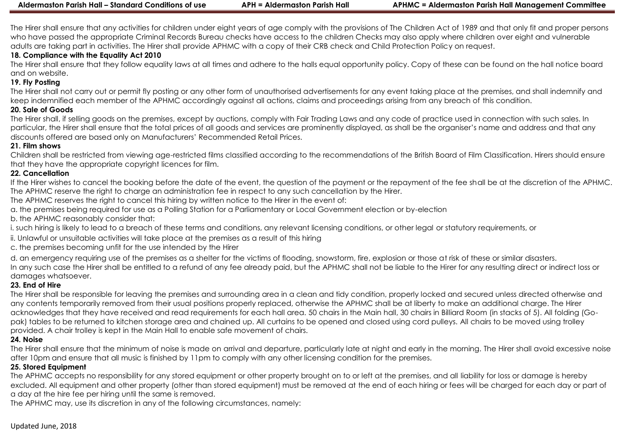The Hirer shall ensure that any activities for children under eight years of age comply with the provisions of The Children Act of 1989 and that only fit and proper persons who have passed the appropriate Criminal Records Bureau checks have access to the children Checks may also apply where children over eight and vulnerable adults are taking part in activities. The Hirer shall provide APHMC with a copy of their CRB check and Child Protection Policy on request.

# **18. Compliance with the Equality Act 2010**

The Hirer shall ensure that they follow equality laws at all times and adhere to the halls equal opportunity policy. Copy of these can be found on the hall notice board and on website.

# **19. Fly Posting**

The Hirer shall not carry out or permit fly posting or any other form of unauthorised advertisements for any event taking place at the premises, and shall indemnify and keep indemnified each member of the APHMC accordingly against all actions, claims and proceedings arising from any breach of this condition.

# **20. Sale of Goods**

The Hirer shall, if selling goods on the premises, except by auctions, comply with Fair Trading Laws and any code of practice used in connection with such sales. In particular, the Hirer shall ensure that the total prices of all goods and services are prominently displayed, as shall be the organiser's name and address and that any discounts offered are based only on Manufacturers' Recommended Retail Prices.

## **21. Film shows**

Children shall be restricted from viewing age-restricted films classified according to the recommendations of the British Board of Film Classification. Hirers should ensure that they have the appropriate copyright licences for film.

#### **22. Cancellation**

If the Hirer wishes to cancel the booking before the date of the event, the question of the payment or the repayment of the fee shall be at the discretion of the APHMC. The APHMC reserve the right to charge an administration fee in respect to any such cancellation by the Hirer.

The APHMC reserves the right to cancel this hiring by written notice to the Hirer in the event of:

a. the premises being required for use as a Polling Station for a Parliamentary or Local Government election or by-election

b. the APHMC reasonably consider that:

i. such hiring is likely to lead to a breach of these terms and conditions, any relevant licensing conditions, or other legal or statutory requirements, or

- ii. Unlawful or unsuitable activities will take place at the premises as a result of this hiring
- c. the premises becoming unfit for the use intended by the Hirer

d. an emergency requiring use of the premises as a shelter for the victims of flooding, snowstorm, fire, explosion or those at risk of these or similar disasters. In any such case the Hirer shall be entitled to a refund of any fee already paid, but the APHMC shall not be liable to the Hirer for any resulting direct or indirect loss or damages whatsoever.

## **23. End of Hire**

The Hirer shall be responsible for leaving the premises and surrounding area in a clean and tidy condition, properly locked and secured unless directed otherwise and any contents temporarily removed from their usual positions properly replaced, otherwise the APHMC shall be at liberty to make an additional charge. The Hirer acknowledges that they have received and read requirements for each hall area. 50 chairs in the Main hall, 30 chairs in Billiard Room (in stacks of 5). All folding (Gopak) tables to be returned to kitchen storage area and chained up. All curtains to be opened and closed using cord pulleys. All chairs to be moved using trolley provided. A chair trolley is kept in the Main Hall to enable safe movement of chairs.

## **24. Noise**

The Hirer shall ensure that the minimum of noise is made on arrival and departure, particularly late at night and early in the morning. The Hirer shall avoid excessive noise after 10pm and ensure that all music is finished by 11pm to comply with any other licensing condition for the premises.

## **25. Stored Equipment**

The APHMC accepts no responsibility for any stored equipment or other property brought on to or left at the premises, and all liability for loss or damage is hereby excluded. All equipment and other property (other than stored equipment) must be removed at the end of each hiring or fees will be charged for each day or part of a day at the hire fee per hiring until the same is removed.

The APHMC may, use its discretion in any of the following circumstances, namely: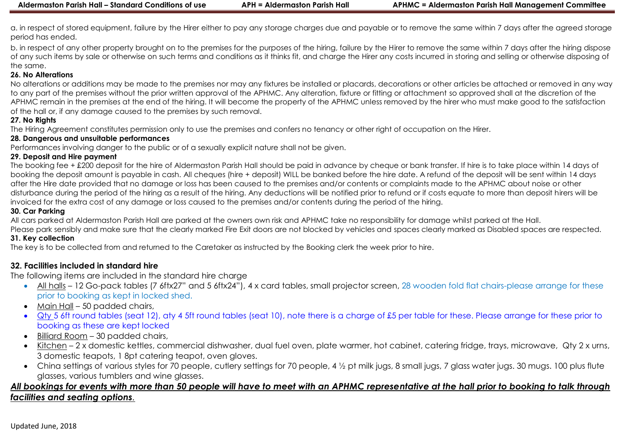a. in respect of stored equipment, failure by the Hirer either to pay any storage charges due and payable or to remove the same within 7 days after the agreed storage period has ended.

b. in respect of any other property brought on to the premises for the purposes of the hiring, failure by the Hirer to remove the same within 7 days after the hiring dispose of any such items by sale or otherwise on such terms and conditions as it thinks fit, and charge the Hirer any costs incurred in storing and selling or otherwise disposing of the same.

#### **26. No Alterations**

No alterations or additions may be made to the premises nor may any fixtures be installed or placards, decorations or other articles be attached or removed in any way to any part of the premises without the prior written approval of the APHMC. Any alteration, fixture or fitting or attachment so approved shall at the discretion of the APHMC remain in the premises at the end of the hiring. It will become the property of the APHMC unless removed by the hirer who must make good to the satisfaction of the hall or, if any damage caused to the premises by such removal.

#### **27. No Rights**

The Hiring Agreement constitutes permission only to use the premises and confers no tenancy or other right of occupation on the Hirer.

#### **28. Dangerous and unsuitable performances**

Performances involving danger to the public or of a sexually explicit nature shall not be given.

#### **29. Deposit and Hire payment**

The booking fee + £200 deposit for the hire of Aldermaston Parish Hall should be paid in advance by cheque or bank transfer. If hire is to take place within 14 days of booking the deposit amount is payable in cash. All cheques (hire + deposit) WILL be banked before the hire date. A refund of the deposit will be sent within 14 days after the Hire date provided that no damage or loss has been caused to the premises and/or contents or complaints made to the APHMC about noise or other disturbance during the period of the hiring as a result of the hiring. Any deductions will be notified prior to refund or if costs equate to more than deposit hirers will be invoiced for the extra cost of any damage or loss caused to the premises and/or contents during the period of the hiring.

#### **30. Car Parking**

All cars parked at Aldermaston Parish Hall are parked at the owners own risk and APHMC take no responsibility for damage whilst parked at the Hall.

Please park sensibly and make sure that the clearly marked Fire Exit doors are not blocked by vehicles and spaces clearly marked as Disabled spaces are respected. **31. Key collection**

The key is to be collected from and returned to the Caretaker as instructed by the Booking clerk the week prior to hire.

## **32. Facilities included in standard hire**

The following items are included in the standard hire charge

- All halls 12 Go-pack tables (7 6ftx27" and 5 6ftx24"), 4 x card tables, small projector screen, 28 wooden fold flat chairs-please arrange for these prior to booking as kept in locked shed.
- Main Hall 50 padded chairs,
- Qty 5 6ft round tables (seat 12), aty 4 5ft round tables (seat 10), note there is a charge of £5 per table for these. Please arrange for these prior to booking as these are kept locked
- Billiard Room 30 padded chairs,
- Kitchen 2 x domestic kettles, commercial dishwasher, dual fuel oven, plate warmer, hot cabinet, catering fridge, trays, microwave, Qty 2 x urns, 3 domestic teapots, 1 8pt catering teapot, oven gloves.
- China settings of various styles for 70 people, cutlery settings for 70 people, 4 ½ pt milk jugs, 8 small jugs, 7 glass water jugs, 30 mugs, 100 plus flute glasses, various tumblers and wine glasses.

# *All bookings for events with more than 50 people will have to meet with an APHMC representative at the hall prior to booking to talk through facilities and seating options.*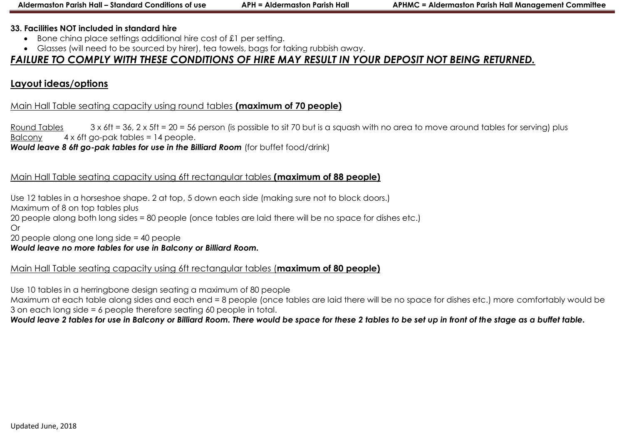#### **33. Facilities NOT included in standard hire**

- Bone china place settings additional hire cost of £1 per setting.
- Glasses (will need to be sourced by hirer), tea towels, bags for taking rubbish away.

# *FAILURE TO COMPLY WITH THESE CONDITIONS OF HIRE MAY RESULT IN YOUR DEPOSIT NOT BEING RETURNED.*

# **Layout ideas/options**

# Main Hall Table seating capacity using round tables **(maximum of 70 people)**

Round Tables  $3 \times 6$ ft = 36, 2 x 5ft = 20 = 56 person (is possible to sit 70 but is a squash with no area to move around tables for serving) plus Balcony 4 x 6ft go-pak tables = 14 people.

**Would leave 8 6ft go-pak tables for use in the Billiard Room** (for buffet food/drink)

# Main Hall Table seating capacity using 6ft rectangular tables **(maximum of 88 people)**

Use 12 tables in a horseshoe shape. 2 at top, 5 down each side (making sure not to block doors.) Maximum of 8 on top tables plus 20 people along both long sides = 80 people (once tables are laid there will be no space for dishes etc.) Or 20 people along one long side = 40 people

## *Would leave no more tables for use in Balcony or Billiard Room.*

# Main Hall Table seating capacity using 6ft rectangular tables (**maximum of 80 people)**

Use 10 tables in a herringbone design seating a maximum of 80 people

Maximum at each table along sides and each end = 8 people (once tables are laid there will be no space for dishes etc.) more comfortably would be 3 on each long side = 6 people therefore seating 60 people in total.

## *Would leave 2 tables for use in Balcony or Billiard Room. There would be space for these 2 tables to be set up in front of the stage as a buffet table.*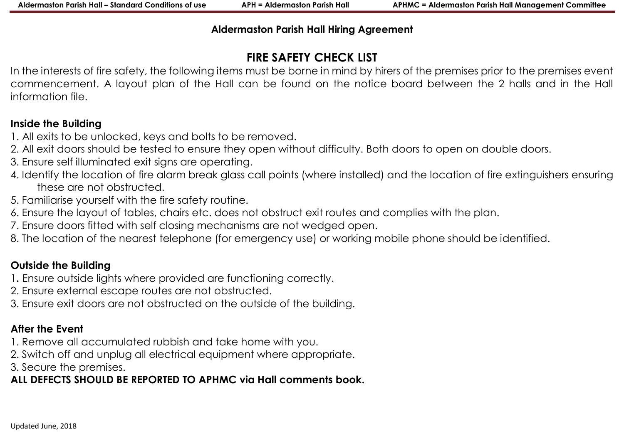# **Aldermaston Parish Hall Hiring Agreement**

# **FIRE SAFETY CHECK LIST**

In the interests of fire safety, the following items must be borne in mind by hirers of the premises prior to the premises event commencement. A layout plan of the Hall can be found on the notice board between the 2 halls and in the Hall information file.

# **Inside the Building**

- 1. All exits to be unlocked, keys and bolts to be removed.
- 2. All exit doors should be tested to ensure they open without difficulty. Both doors to open on double doors.
- 3. Ensure self illuminated exit signs are operating.
- 4. Identify the location of fire alarm break glass call points (where installed) and the location of fire extinguishers ensuring these are not obstructed.
- 5. Familiarise yourself with the fire safety routine.
- 6. Ensure the layout of tables, chairs etc. does not obstruct exit routes and complies with the plan.
- 7. Ensure doors fitted with self closing mechanisms are not wedged open.
- 8. The location of the nearest telephone (for emergency use) or working mobile phone should be identified.

# **Outside the Building**

- 1**.** Ensure outside lights where provided are functioning correctly.
- 2. Ensure external escape routes are not obstructed.
- 3. Ensure exit doors are not obstructed on the outside of the building.

# **After the Event**

- 1. Remove all accumulated rubbish and take home with you.
- 2. Switch off and unplug all electrical equipment where appropriate.
- 3. Secure the premises.

# **ALL DEFECTS SHOULD BE REPORTED TO APHMC via Hall comments book.**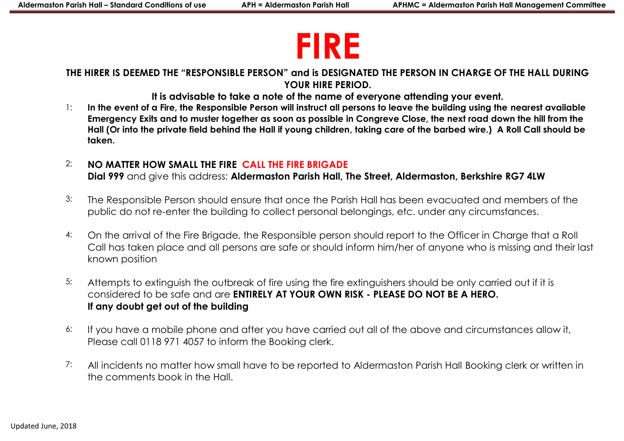# **FIRE**

**THE HIRER IS DEEMED THE "RESPONSIBLE PERSON" and is DESIGNATED THE PERSON IN CHARGE OF THE HALL DURING YOUR HIRE PERIOD.** 

**It is advisable to take a note of the name of everyone attending your event.**

- 1: **In the event of a Fire, the Responsible Person will instruct all persons to leave the building using the nearest available Emergency Exits and to muster together as soon as possible in Congreve Close, the next road down the hill from the Hall (Or into the private field behind the Hall if young children, taking care of the barbed wire.) A Roll Call should be taken.**
- 2: **NO MATTER HOW SMALL THE FIRE CALL THE FIRE BRIGADE Dial 999** and give this address: **Aldermaston Parish Hall, The Street, Aldermaston, Berkshire RG7 4LW**
- 3: The Responsible Person should ensure that once the Parish Hall has been evacuated and members of the public do not re-enter the building to collect personal belongings, etc. under any circumstances.
- 4: On the arrival of the Fire Brigade, the Responsible person should report to the Officer in Charge that a Roll Call has taken place and all persons are safe or should inform him/her of anyone who is missing and their last known position
- 5: Attempts to extinguish the outbreak of fire using the fire extinguishers should be only carried out if it is considered to be safe and are **ENTIRELY AT YOUR OWN RISK - PLEASE DO NOT BE A HERO. If any doubt get out of the building**
- 6: If you have a mobile phone and after you have carried out all of the above and circumstances allow it, Please call 0118 971 4057 to inform the Booking clerk.
- 7: All incidents no matter how small have to be reported to Aldermaston Parish Hall Booking clerk or written in the comments book in the Hall.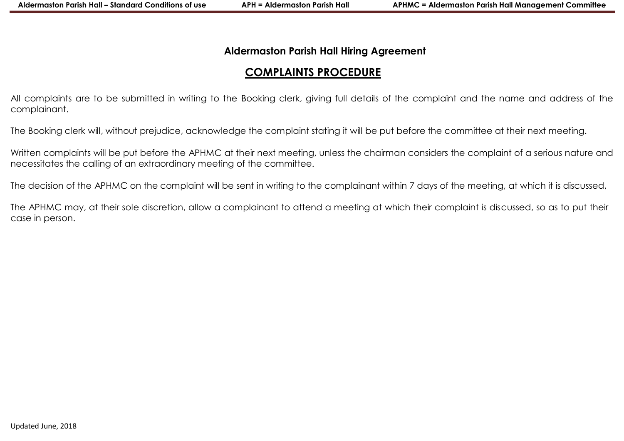# **Aldermaston Parish Hall Hiring Agreement**

# **COMPLAINTS PROCEDURE**

All complaints are to be submitted in writing to the Booking clerk, giving full details of the complaint and the name and address of the complainant.

The Booking clerk will, without prejudice, acknowledge the complaint stating it will be put before the committee at their next meeting.

Written complaints will be put before the APHMC at their next meeting, unless the chairman considers the complaint of a serious nature and necessitates the calling of an extraordinary meeting of the committee.

The decision of the APHMC on the complaint will be sent in writing to the complainant within 7 days of the meeting, at which it is discussed,

The APHMC may, at their sole discretion, allow a complainant to attend a meeting at which their complaint is discussed, so as to put their case in person.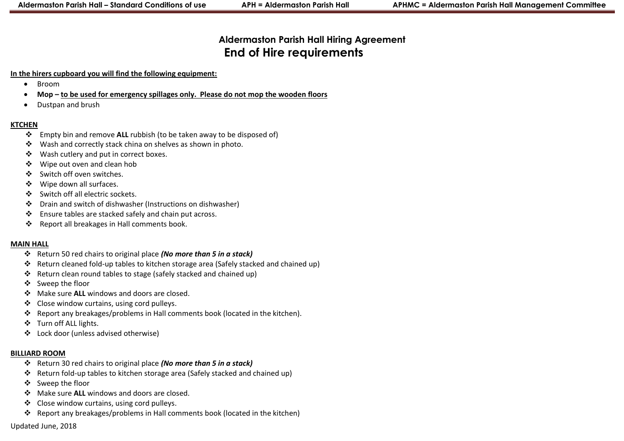# **Aldermaston Parish Hall Hiring Agreement End of Hire requirements**

#### **In the hirers cupboard you will find the following equipment:**

- Broom
- **Mop – to be used for emergency spillages only. Please do not mop the wooden floors**
- Dustpan and brush

#### **KTCHEN**

- Empty bin and remove **ALL** rubbish (to be taken away to be disposed of)
- Wash and correctly stack china on shelves as shown in photo.
- Wash cutlery and put in correct boxes.
- Wipe out oven and clean hob
- ❖ Switch off oven switches.
- Wipe down all surfaces.
- Switch off all electric sockets.
- Drain and switch of dishwasher (Instructions on dishwasher)
- Ensure tables are stacked safely and chain put across.
- Report all breakages in Hall comments book.

#### **MAIN HALL**

- Return 50 red chairs to original place *(No more than 5 in a stack)*
- Return cleaned fold-up tables to kitchen storage area (Safely stacked and chained up)
- Return clean round tables to stage (safely stacked and chained up)
- Sweep the floor
- Make sure **ALL** windows and doors are closed.
- ❖ Close window curtains, using cord pulleys.
- Report any breakages/problems in Hall comments book (located in the kitchen).
- Turn off ALL lights.
- Lock door (unless advised otherwise)

# **BILLIARD ROOM**

- Return 30 red chairs to original place *(No more than 5 in a stack)*
- Return fold-up tables to kitchen storage area (Safely stacked and chained up)
- Sweep the floor
- Make sure **ALL** windows and doors are closed.
- Close window curtains, using cord pulleys.
- Report any breakages/problems in Hall comments book (located in the kitchen)

Updated June, 2018